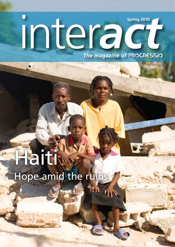inter*act The magazine of* **Spring 2010**

# Haiti Hope amid the ruins

**American**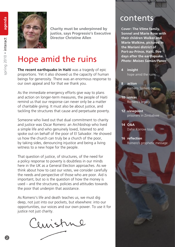

**Charity must be underpinned by justice, says Progressio's Executive Director Christine Allen**

# Hope amid the ruins

**The recent earthquake in Haiti** was a tragedy of epic proportions. Yet it also showed us the capacity of human beings for generosity. There was an enormous response to our own appeal and for that we thank you.

As the immediate emergency efforts give way to plans and action on longer-term measures, the people of Haiti remind us that our response can never only be a matter of charitable giving. It must also be about justice, and tackling the structures that cause and perpetuate poverty.

Someone who lived out that dual commitment to charity and justice was Oscar Romero: an Archbishop who lived a simple life and who genuinely loved, listened to and spoke out on behalf of the poor of El Salvador. He showed us how the church can truly be a church of the poor, by taking sides, denouncing injustice and being a living witness to a new hope for the people.

That question of justice, of structures, of the need for a policy response to poverty is doubtless in our minds here in the UK as a General Election approaches. As we think about how to cast our votes, we consider carefully the needs and perspective of those who are poor. Aid is important, but so is the question of how the money is used – and the structures, policies and attitudes towards the poor that underpin that assistance.

As Romero's life and death teaches us, we must dig deep, not just into our pockets, but elsewhere: into our opportunities, our voices and our own power. To use it for justice not just charity.

Cenishne

### contents

**Cover: The Vilme family, Sonnel and Marie Rose with their children Walker and Marie Walkine, pictured in the Mariani district of Port-au-Prince, Haiti, five days after the earthquake.** *Photo: Moises Saman/Panos*

- **4 insight** hope amid the ruins
- **8 action** Haitians 'locked out'
- **10 voices** Romero's legacy
- **12 viewpoint** prisoners in Zimbabwe
- **14 Q&A** Dahir Korrow Issak
- **16 reflection** Romero's prophetic message

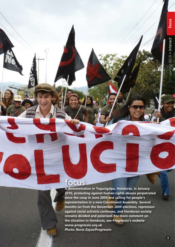focus

## focus

**A demonstration in Tegucigalpa, Honduras, in January 2010, protesting against human rights abuses perpetrated since the coup in June 2009 and calling for people's representation in a new Constituent Assembly. Several months on from the November 2009 elections, repression against social activists continues, and Honduran society remains divided and polarised. For more comment on the situation in Honduras, see Progressio's website www.progressio.org.uk** *Photo: Nuria Zayas/Progressio*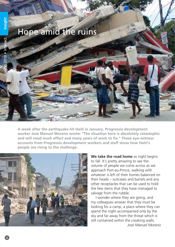

**A week after the earthquake hit Haiti in January, Progressio development worker José Manuel Moreno wrote: "The situation here is absolutely catastophic and will need much effort and many years of work to fix." These eye-witness accounts from Progressio development workers and staff show how Haiti's people are rising to the challenge.**



**We take the road home** as night begins to fall. It's pretty amazing to see the volume of people we come across as we approach Port-au-Prince, walking with whatever is left of their homes balanced on their heads – suitcases and barrels and any other receptacles that can be used to hold the few items that they have managed to salvage from the rubble.

I wonder where they are going, and my colleagues answer that they must be looking for a camp, a place where they can spend the night accompanied only by the sky and far away from the threat which is still contained within the creaking walls. *José Manuel Moreno*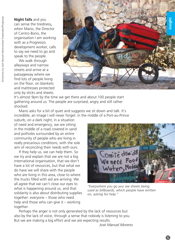**Night falls** and you can sense the tiredness**,**  when Mario, the Director of Centro Bono, the organisation I am working with as a Progressio development worker, calls to say we need to go and speak to the people.

We walk through alleyways and narrow streets and arrive at a passageway where we find lots of people living on the floor, on blankets and mattresses protected only by sticks and sheets.



It's almost 9pm by the time we get there and about 100 people start gathering around us. The people are surprised, angry and still rather shocked.

Mario asks for a bit of quiet and suggests we sit down and talk. It's incredible, an image I will never forget: in the middle of a Port-au-Prince

suburb, on a dark night, in a situation of need and emergency, we are sitting in the middle of a road covered in sand and potholes surrounded by an entire community of people who are living in really precarious conditions, with the sole aim of reconciling their needs with ours.

If they help us, we can help them. So we try and explain that we are not a big international organisation, that we don't have a lot of resources, but that what we do have we will share with the people who are living in this area, close to where the trucks filled with aid are arriving. We all agree that we can't close our eyes to what is happening around us, and that solidarity is also about distributing supplies together: everyone – those who need help and those who can give it – working together.



*"Everywhere you go you see sheets being used as billboards, which people have written on, asking for help."*

Perhaps the anger is not only generated by the lack of resources but also by the lack of voice, through a sense that nobody is listening to you. But we are making a big effort and we are expecting results.

*José Manuel Moreno*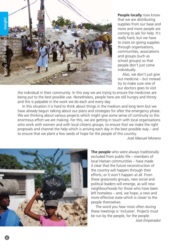

**People locally** now know that we are distributing supplies from our base and more and more people are coming to ask for help. It's really hard, but we have to insist on giving supplies through organisations, communities, associations and groups (such as school groups) so that people don't just come individually.

Also, we don't just give out medicine – but instead try to make sure one of our doctors goes to visit

the individual in their community. In this way we are trying to ensure the medicines are being put to the best possible use. Nonetheless, people here are still hungry and thirsty and this is palpable in the work we do each and every day.

In this situation it is hard to think about things in the medium and long term but we have already begun talking about our plans and strategies for after the emergency phase. We are thinking about various projects which might give some sense of continuity to this enormous effort we are making. For this, we are getting in touch with local organisations who work with women and with local citizens groups, to ensure that we make the right proposals and channel the help which is arriving each day in the best possible way – and to ensure that we plant a few seeds of hope for the people of this country.

*José Manuel Moreno* 



**The people** who were always traditionally excluded from public life – members of local Haitian communities – have made it clear that the future reconstruction of the country will happen through their efforts, or it won't happen at all. From these grassroots groups, new social and political leaders will emerge, as will new neighbourhoods for those who have been left homeless – and, we hope, a new and more effective state which is closer to the people themselves.

The word you hear most often during these meetings is 'inclusive'. Projects must be run by the people, for the people.

*José Emperador*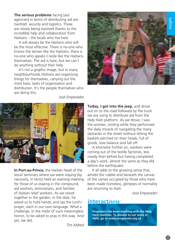**The serious problems** facing [aid agencies] in terms of distributing aid are twofold: security and logistics. These are slowly being resolved thanks to the incredible help and collaboration from Haitians – the locals who live here.

It will always be the Haitians who will be the most effective. There is no-one who knows the terrain like the Haitians, there is no-one who speaks Creole like the Haitians themselves. The aid is here, but we can't do anything without their help.

It's not a graphic image, but in many neighbourhoods Haitians are organising things for themselves, carrying out the most basic tasks of organisation and distribution. It's the people themselves who are doing this.

*José Emperador*



**In Port-au-Prince,** the Haitian head of the Jesuit seminary where we were staying (by necessity, in tents) held an evening meeting for those of us staying in the compound, aid workers, seminarians, and families of Haitian relief workers. As we stood together in the garden, in the dark, he asked us to hold hands, and say the Lord's prayer, each in our own language. What a challenge, in the midst of such meaningless horror, to be asked to pray in this way. And yet, we did.

*Tim Aldred*



**Today, I got into the jeep,** and drove out on to the road followed by the truck we are using to distribute aid from the Help Haiti platform. As we drove, I saw the women, smiling while they performed the daily miracle of navigating the many obstacles in the street without letting the baskets perched on their heads, full of goods, lose balance and fall off.

A kilometre further on, workers were coming out of the textile factories, less rowdy than before but having completed a day's work, almost the same as they did before the earthquake.

It all adds to the growing sense that, amidst the rubble and beneath the canvas of the camps occupied by those who have been made homeless, glimpses of normality are returning to Haiti.

*José Emperador*

#### **interact***now*

**Progressio has been working with the Help Haiti coalition. To donate to our work in Haiti, go to www.progressio.org.uk**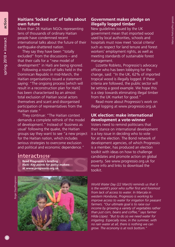#### **Haitians 'locked out' of talks about own future**

More than 26 Haitian NGOs representing tens of thousands of ordinary Haitian people have condemned recent international talks about the future of their earthquake-shattered nation.

They say they have been "totally excluded" from the discussions – and that their calls for a "new model of development" in Haiti are being ignored.

Following a round of talks held in the Dominican Republic in mid-March, the Haitian organisations issued a statement saying: "The ongoing process [which will result in a reconstruction plan for Haiti] has been characterised by an almost total exclusion of Haitian social actors themselves and scant and disorganised participation of representatives from the Haitian state."

They continue: "The Haitian context demands a complete rethink of the model of development." Instead of 'business as usual' following the quake, the Haitian groups say they want to see "a new project for the Haitian nation, which includes serious strategies to overcome exclusion and political and economic dependence."

#### **interact***now*

**Read Progressio's briefing**  *Haiti: Key points for policy makers* **at www.progressio.org.uk**



#### **Government makes pledge on illegally logged timber**

New guidelines issued by the UK government mean that imported wood used by local authorities, schools and hospitals must now meet 'social criteria' such as respect for land tenure and forest workers' employment rights, as well as meeting standards of sustainable forest management.

Lizzette Robleto, Progressio's advocacy officer who has been lobbying for the change, said: "In the UK, 62% of imported tropical wood is illegally logged. If these criteria are followed, the public sector will be setting a good example. We hope this is a step towards eliminating illegal timber from the UK market for good."

Read more about Progressio's work on illegal logging at www.progressio.org.uk

#### **UK election: make international development a vote-winner**

Voters need to remind politicians that their stance on international development is a key issue in deciding who to vote for at the election. The Bond network of development agencies, of which Progressio is a member, has produced an election toolkit with ideas on how to challenge candidates and promote action on global poverty. See www.progressio.org.uk for more info and links to download the toolkit.

*World Water Day (22 March) reminds us that it is the world's poor who suffer first and foremost from lack of access to water. In Marcala in western Honduras, Progressio is working to improve access to water for irrigation for peasant farmers. "Our ultimate goal is to raise our income by growing a variety of vegetables rather than just corn, beans and coffee," says farmer Hilda López. "But to do so we need water for irrigating. Especially now, in the summer, with no rain water at all, there is nothing we can grow. The economy is at rock bottom."*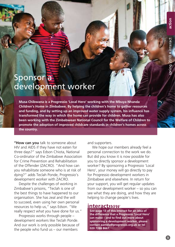# Sponsor a development worker

**Musa Chibwana is a Progressio 'Local Hero' working with the Mbuya Nhanda Children's Home in Zimbabwe. By helping the children's home to gather resources and funding, and by setting up an improved water supply system, his influence has transformed the way in which the home can provide for children. Musa has also been working with the Zimbabwean National Council for the Welfare of Children to promote the adoption of improved childcare standards in children's homes across the country.**

**"How can you** talk to someone about HIV and AIDS if they have not eaten for three days?" says Edson Chiota, National Co-ordinator of the Zimbabwe Association for Crime Prevention and Rehabilitation of the Offender (ZACRO). "And how can you rehabilitate someone who is at risk of dying?" adds Teclah Ponde, Progressio's development worker with ZACRO.

Despite the challenges of working in Zimbabwe's prisons, "Teclah is one of the best things to have happened to our organisation. She has zeal and the will to succeed, even using her own personal resources to help us," says Edson. "We really respect what you have done for us."

Progressio works through people – development workers like Teclah Ponde. And our work is only possible because of the people who fund us – our members

and supporters.

We hope our members already feel a personal connection to the work we do. But did you know it is now possible for you to directly sponsor a development worker? By sponsoring a Progressio 'Local Hero', your money will go directly to pay for Progressio development workers in Zimbabwe and elsewhere. In return for your support, you will get regular updates from our development worker – so you can see what they are doing, and how they are helping to change people's lives.

#### **interact***now*

**See page 13 of this Interact for an idea of the difference that a Progressio 'Local Hero' can make – and to find out more about sponsoring a development worker, please contact pamela@progressio.org.uk or tel 020 7288 8667.**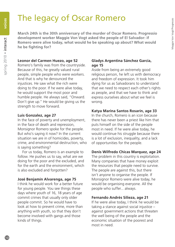# The legacy of Oscar Romero

**March 24th is the 30th anniversary of the murder of Oscar Romero. Progressio development worker Maggie Von Vogt asked the people of El Salvador: if Romero were alive today, what would he be speaking up about? What would he be fighting for?**

#### **Leonor del Carmen Huezo, age 52**

Romero's family was from the countryside. Because of this, he greatly valued rural people, simple people who were workers. And that is why he denounced the injustices. He saw what the rich were doing to the poor. If he were alive today, he would support the most poor and humble people. He always said, "Onward. Don't give up." He would be giving us the strength to move forward.

#### **Luis Gonzalez, age 27**

In the face of poverty and unemployment, in the face of death and repression, Monsignor Romero spoke for the people. But who's saying it now? In the current situation we are in of homicides, poverty, crime, and environmental destruction, who is saying something?

For us today, Romero is an example to follow. He pushes us to say, what are we doing for the poor and the excluded, and for the earth and the environment, which is also excluded and forgotten?

#### **José Benjamín Alvarenga, age 75**

I think he would work for a better future for young people. You see things these days where youth of 16, 18 years of age commit crimes that usually only older people commit. So he would have to look at how to prevent crime, more than anything with youth, so that they don't become involved with gangs and those kinds of things.

#### **Gladys Argentina Sánchez García, age 15**

Aside from being an extremely good religious person, he left us with democracy and freedom of expression. It took him dying for us as Salvadorans to understand that we need to respect each other's rights as people, and that we have to think and express ourselves about what we feel is wrong.

#### **Katya Marina Santos Rosarín, age 33**

In the church, Romero is an icon because there has never been a priest like him that puts himself on the side of the people most in need. If he were alive today, he would continue his struggle because there is a lot of exclusion, inequality, and a lack of opportunities for the people.

#### **Denis Wilfredo Chicas Marquez, age 24**

The problem in this country is exploitation. Many companies that have money exploit the resources that people need to survive. The people are against this, but there isn't anyone to organise the people. If Monsignor Romero were alive today, he would be organising everyone. All the people who suffer... always.

#### **Fernando Andrés Silieza, age 21**

If he were alive today, I think he would be taking a stance against social injustice – against government actions that threaten the well being of the people and the economic situation of the poorest and most in need.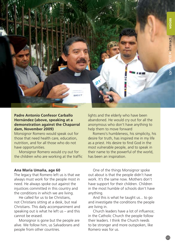

#### **Padre Antonio Confesor Carballo Hernández (above, speaking at a demonstration against the Chaparral dam, November 2009)**

Monsignor Romero would speak out for those that need health care, education, nutrition, and for all those who do not have opportunities.

Monsignor Romero would cry out for the children who are working at the traffic lights and the elderly who have been abandoned. He would cry out for all the anonymous who don't have anything to help them to move forward

Romero's humbleness, his simplicity, his desire for truth, has inspired me in my life as a priest. His desire to find God in the most vulnerable people, and to speak in their name to the powerful of the world, has been an inspiration.

#### **Ana Maria Umaña, age 60**

The legacy that Romero left us is that we always must work for the people most in need. He always spoke out against the injustices committed in this country and the conditions in which we are living.

He called for us to be Christians, not Christians sitting at a desk, but real Christians. This daily accompaniment and speaking out is what he left us – and this cannot be erased.

Monsignor is gone but the people are alive. We follow him, us Salvadorans and people from other countries.

One of the things Monsignor spoke out about is that the people didn't have work. It's the same now. Mothers don't have support for their children. Children in the most humble of schools don't have anything.

And this is what he taught us... to go and investigate the conditions the people are living in.

Church leaders have a lot of influence; in the Catholic Church the people follow their leaders. I think the Church needs to be stronger and more outspoken, like Romero was for us.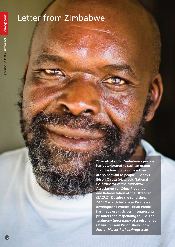# Letter from Zimbabwe

**"The situation in Zimbabwe's prisons has deteriorated to such an extent that it is hard to describe – they are so harmful to people." So says Edson Chiota (pictured), National Co-ordinator of the Zimbabwe Association for Crime Prevention and Rehabilitation of the Offender (ZACRO). Despite the conditions, ZACRO – with help from Progressio development worker Teclah Ponde – has made great strides in supporting prisoners and responding to HIV. The testimony (next page) of a prisoner at Chikurubi Farm Prison shows how.** *Photo: Marcus Perkins/Progressio*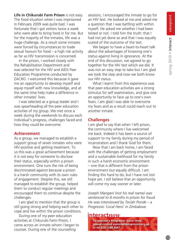**Life in Chikurubi Farm Prison** is not easy. The food situation when I was imprisoned in February 2009 was quite bad. I was fortunate that I got visitors twice a week who were able to bring food in for me. But for the majority of the inmates, life was a huge challenge. As a result some inmates were forced by circumstances to trade sexual favours for food – a high risk activity as far as HIV transmission is concerned.

In the prison, I worked closely with the Rehabilitation Department and was selected for the HIV and AIDS Peer Education Programme conducted by ZACRO. I welcomed this because it gave me an opportunity to develop myself and equip myself with new knowledge, and at the same time help make a difference in other inmates' lives.

I was selected as a group leader and I was spearheading all the peer education activities of my group. We met once a week during the weekends to discuss each individual's progress, challenges faced and how they could be overcome.

#### **Achievement**

As a group, we managed to establish a support group of seven inmates who were HIV-positive and getting treatment. To us this was a great achievement because it is not easy for someone to disclose their status, especially within a prison environment. One runs the risk of being discriminated against because a prison is a harsh community with its own rules of engagement. Despite this, we still managed to establish the group, helped them to conduct regular meetings and encouraged them to continue despite the challenges.

I am glad to mention that the group is still going strong and helping each other to cope and live within the prison conditions.

During one of my peer education activities at Chikurubi Farm Prison, I came across an inmate whom I began to counsel. During one of the counselling

sessions, I encouraged the inmate to go for an HIV test. He looked at me and asked me a question that I was battling with within myself. He asked me whether I had been tested or not. I told him the truth: that I had not yet done so and that I was equally scared of the outcome of the test.

We began to have a heart-to-heart talk about the advantages of knowing one's status against living in ignorance. At the end of this discussion, we agreed to go together for the HIV test which we did. It was not an easy step to take but I am glad we took the step and now we both know our HIV status.

What I learnt from this experience was that peer education activities are a strong stimulus for self examination, and give one an opportunity to face up to one's own fears. I am glad I was able to overcome my fears and as a result could reach out to another inmate.

#### **Challenges**

I am glad to say that when I left prison, the community where I live welcomed me back. Indeed it has been a source of support to my family during my period of incarceration and I thank God for them.

Now that I am back home, I am faced with the challenges of getting employment and a sustainable livelihood for my family in such a harsh economic environment – one that is different from the prison environment but equally difficult. I am finding this hard to do, but I have not lost hope yet. I still believe that an opportunity will come my way sooner or later.

*Joseph Mangani (not his real name) was sentenced to 8 months in prison for fraud. He was interviewed by Teclah Ponde – a Progressio 'Local Hero' in Zimbabwe.*

#### **interact***now*

**To sponsor a Progressio 'Local Hero', please contact pamela@progressio.org.uk or tel 020 7288 8667.**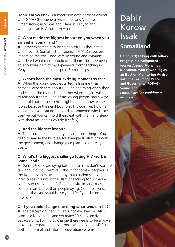spring 2010 . interact

**Dahir Korow Issak** is a Progressio development worker with GAVO (the General Assistance and Volunteer Organisation) in Somaliland. Dahir is Kenyan and is working as an HIV Youth Advisor.

#### **Q: What made the biggest impact on you when you arrived in Somaliland?**

**A:** I never expected it to be so peaceful – I thought it would be like Somalia. The leaders at GAVO made an impact on me too. They were so young and dynamic, I wondered what more I could offer them – but I've been able to share a lot of my experience from teaching in Kenya, and being able to speak Somali helps.

#### **Q: What's been the most exciting moment so far?**

**A:** When the young people started telling me their personal experiences about HIV. It's one thing when they understand the issues, but another when they're willing to talk about them. One of the young people had always been told not to talk to his neighbour – he now realises it was because the neighbour was HIV-positive. Now he knows that you can not only talk to someone who is HIVpositive but you can hold them, eat with them and sleep with them (as long as you do it safely).

#### **Q: And the biggest lesson?**

**A:** The need to be patient – you can't force things. You need to realise the hurdles, for example frustrations with the government, and change your plans to achieve your goals.

#### **Q: What's the biggest challenge facing HIV work in Somaliland?**

A: Denial. People are dying but their families don't want to talk about it. You can't talk about condoms – people use the Koran as an excuse and say that condoms encourage intercourse (it's not in the Islamic teaching for unmarried couples to use condoms). But I'm a Muslim and know that condoms are better than people dying. Common sense dictates that you should save your life if you decide to have sex.

#### **Q: If you could change one thing what would it be?**

**A:** The perception that HIV is for non-believers – "AIDS is not for Muslims" – and yet many Muslims are dying because of it. For this to change there needs to be a brave move to integrate the basic concepts of HIV and AIDS into both the formal and informal education systems.

# Dahir Korow Issak **Somaliland**

**Dahir (left) talking with fellow Progressio development worker Ahmed Mohamed Mohamud, who is working as an Election Monitoring Advisor with the Forum for Peace and Governance (FOPAG) in Somaliland.** *Photo: Caroline Pankhurst/ Progressio*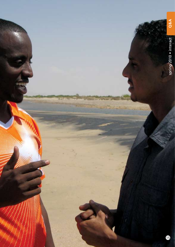